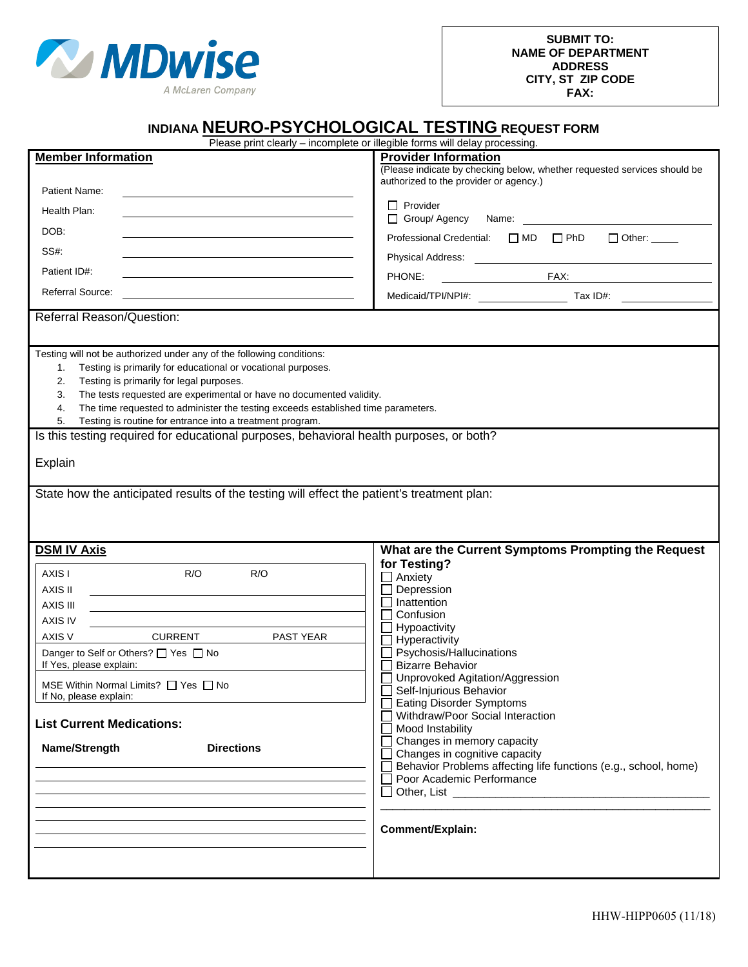

## **INDIANA NEURO-PSYCHOLOGICAL TESTING REQUEST FORM**

|                                                                                                                                                                                                                                                                                                                                                                                                                                                                                                | Please print clearly - incomplete or illegible forms will delay processing.                                                                                                                                                                                                                                                                                                                                                                                                                                  |  |  |  |  |
|------------------------------------------------------------------------------------------------------------------------------------------------------------------------------------------------------------------------------------------------------------------------------------------------------------------------------------------------------------------------------------------------------------------------------------------------------------------------------------------------|--------------------------------------------------------------------------------------------------------------------------------------------------------------------------------------------------------------------------------------------------------------------------------------------------------------------------------------------------------------------------------------------------------------------------------------------------------------------------------------------------------------|--|--|--|--|
| <b>Member Information</b>                                                                                                                                                                                                                                                                                                                                                                                                                                                                      | <b>Provider Information</b><br>(Please indicate by checking below, whether requested services should be<br>authorized to the provider or agency.)                                                                                                                                                                                                                                                                                                                                                            |  |  |  |  |
| Patient Name:<br><u> 1989 - Johann Stoff, deutscher Stoffen und der Stoffen und der Stoffen und der Stoffen und der Stoffen und der</u><br>Health Plan:<br><u> 1989 - Johann Barbara, martin amerikan basar dan berasal dan berasal dalam basar dalam basar dalam basar dala</u>                                                                                                                                                                                                               | $\Box$ Provider                                                                                                                                                                                                                                                                                                                                                                                                                                                                                              |  |  |  |  |
| DOB:                                                                                                                                                                                                                                                                                                                                                                                                                                                                                           |                                                                                                                                                                                                                                                                                                                                                                                                                                                                                                              |  |  |  |  |
| <u> 1989 - Johann Barbara, martin amerikan basar dan berasal dalam basa dalam basar dalam basar dalam basar dala</u><br>SS#:                                                                                                                                                                                                                                                                                                                                                                   | $\Box$ MD $\Box$ PhD<br>$\Box$ Other: $\_\_$<br>Professional Credential:                                                                                                                                                                                                                                                                                                                                                                                                                                     |  |  |  |  |
| Patient ID#:                                                                                                                                                                                                                                                                                                                                                                                                                                                                                   |                                                                                                                                                                                                                                                                                                                                                                                                                                                                                                              |  |  |  |  |
|                                                                                                                                                                                                                                                                                                                                                                                                                                                                                                | FAX: The contract of the contract of the contract of the contract of the contract of the contract of the contract of the contract of the contract of the contract of the contract of the contract of the contract of the contr<br>PHONE:<br><u> Alban Maria San A</u>                                                                                                                                                                                                                                        |  |  |  |  |
| <b>Referral Source:</b>                                                                                                                                                                                                                                                                                                                                                                                                                                                                        | Medicaid/TPI/NPI#: Tax ID#:                                                                                                                                                                                                                                                                                                                                                                                                                                                                                  |  |  |  |  |
| Referral Reason/Question:                                                                                                                                                                                                                                                                                                                                                                                                                                                                      |                                                                                                                                                                                                                                                                                                                                                                                                                                                                                                              |  |  |  |  |
| 2.<br>Testing is primarily for legal purposes.<br>3.<br>The tests requested are experimental or have no documented validity.<br>The time requested to administer the testing exceeds established time parameters.<br>4.<br>Testing is routine for entrance into a treatment program.<br>5.<br>Is this testing required for educational purposes, behavioral health purposes, or both?<br>Explain<br>State how the anticipated results of the testing will effect the patient's treatment plan: |                                                                                                                                                                                                                                                                                                                                                                                                                                                                                                              |  |  |  |  |
| <b>DSM IV Axis</b>                                                                                                                                                                                                                                                                                                                                                                                                                                                                             | What are the Current Symptoms Prompting the Request                                                                                                                                                                                                                                                                                                                                                                                                                                                          |  |  |  |  |
| AXIS I<br>R/O<br>R/O<br>AXIS II<br>AXIS III<br><b>AXIS IV</b><br><b>CURRENT</b><br><b>PAST YEAR</b><br>AXIS V<br>Danger to Self or Others? □ Yes □ No<br>If Yes, please explain:<br>MSE Within Normal Limits? □ Yes □ No<br>If No, please explain:<br><b>List Current Medications:</b><br>Name/Strength<br><b>Directions</b><br><u> 1989 - Johann Barn, mars ann an t-Amhain an t-Amhain an t-Amhain an t-Amhain an t-Amhain an t-Amhain an t-Amh</u>                                          | for Testing?<br>$\Box$ Anxiety<br>Depression<br>Inattention<br>Confusion<br>Hypoactivity<br>Hyperactivity<br>Psychosis/Hallucinations<br><b>Bizarre Behavior</b><br>Unprovoked Agitation/Aggression<br>Self-Injurious Behavior<br><b>Eating Disorder Symptoms</b><br>Withdraw/Poor Social Interaction<br>Mood Instability<br>Changes in memory capacity<br>Changes in cognitive capacity<br>Behavior Problems affecting life functions (e.g., school, home)<br>Poor Academic Performance<br>Comment/Explain: |  |  |  |  |